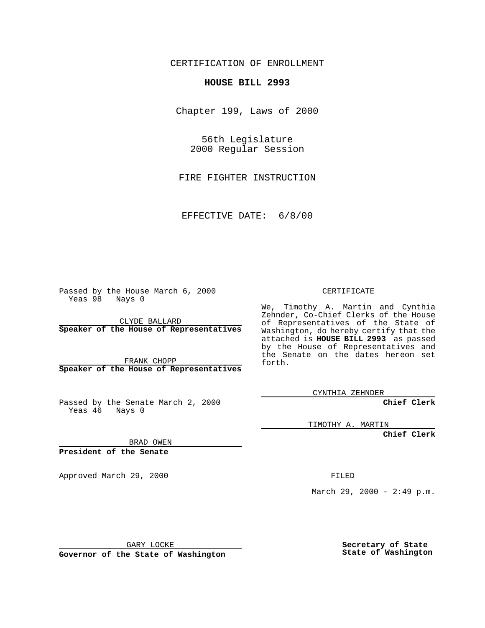CERTIFICATION OF ENROLLMENT

## **HOUSE BILL 2993**

Chapter 199, Laws of 2000

56th Legislature 2000 Regular Session

FIRE FIGHTER INSTRUCTION

EFFECTIVE DATE: 6/8/00

Passed by the House March 6, 2000 Yeas 98 Nays 0

CLYDE BALLARD **Speaker of the House of Representatives**

FRANK CHOPP **Speaker of the House of Representatives**

Passed by the Senate March 2, 2000 Yeas 46 Nays 0

CERTIFICATE

We, Timothy A. Martin and Cynthia Zehnder, Co-Chief Clerks of the House of Representatives of the State of Washington, do hereby certify that the attached is **HOUSE BILL 2993** as passed by the House of Representatives and the Senate on the dates hereon set forth.

CYNTHIA ZEHNDER

**Chief Clerk**

TIMOTHY A. MARTIN

**Chief Clerk**

BRAD OWEN

**President of the Senate**

Approved March 29, 2000 FILED

March 29, 2000 - 2:49 p.m.

GARY LOCKE

**Governor of the State of Washington**

**Secretary of State State of Washington**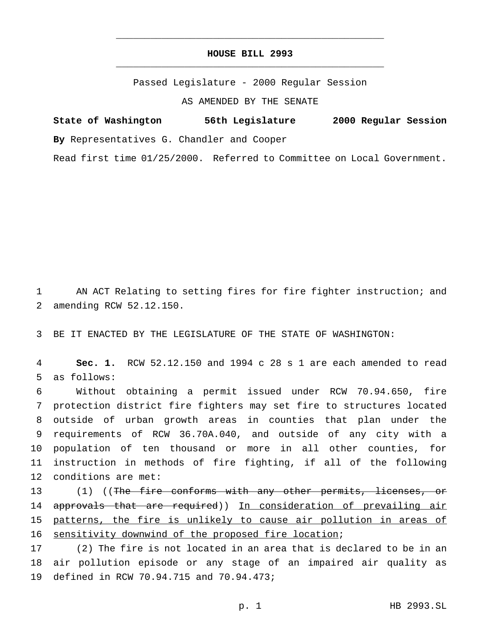## **HOUSE BILL 2993** \_\_\_\_\_\_\_\_\_\_\_\_\_\_\_\_\_\_\_\_\_\_\_\_\_\_\_\_\_\_\_\_\_\_\_\_\_\_\_\_\_\_\_\_\_\_\_

\_\_\_\_\_\_\_\_\_\_\_\_\_\_\_\_\_\_\_\_\_\_\_\_\_\_\_\_\_\_\_\_\_\_\_\_\_\_\_\_\_\_\_\_\_\_\_

Passed Legislature - 2000 Regular Session

AS AMENDED BY THE SENATE

**State of Washington 56th Legislature 2000 Regular Session By** Representatives G. Chandler and Cooper

Read first time 01/25/2000. Referred to Committee on Local Government.

1 AN ACT Relating to setting fires for fire fighter instruction; and 2 amending RCW 52.12.150.

3 BE IT ENACTED BY THE LEGISLATURE OF THE STATE OF WASHINGTON:

4 **Sec. 1.** RCW 52.12.150 and 1994 c 28 s 1 are each amended to read 5 as follows:

 Without obtaining a permit issued under RCW 70.94.650, fire protection district fire fighters may set fire to structures located outside of urban growth areas in counties that plan under the requirements of RCW 36.70A.040, and outside of any city with a population of ten thousand or more in all other counties, for instruction in methods of fire fighting, if all of the following conditions are met:

13 (1) ((The fire conforms with any other permits, licenses, or 14 approvals that are required)) In consideration of prevailing air 15 patterns, the fire is unlikely to cause air pollution in areas of 16 sensitivity downwind of the proposed fire location;

17 (2) The fire is not located in an area that is declared to be in an 18 air pollution episode or any stage of an impaired air quality as 19 defined in RCW 70.94.715 and 70.94.473;